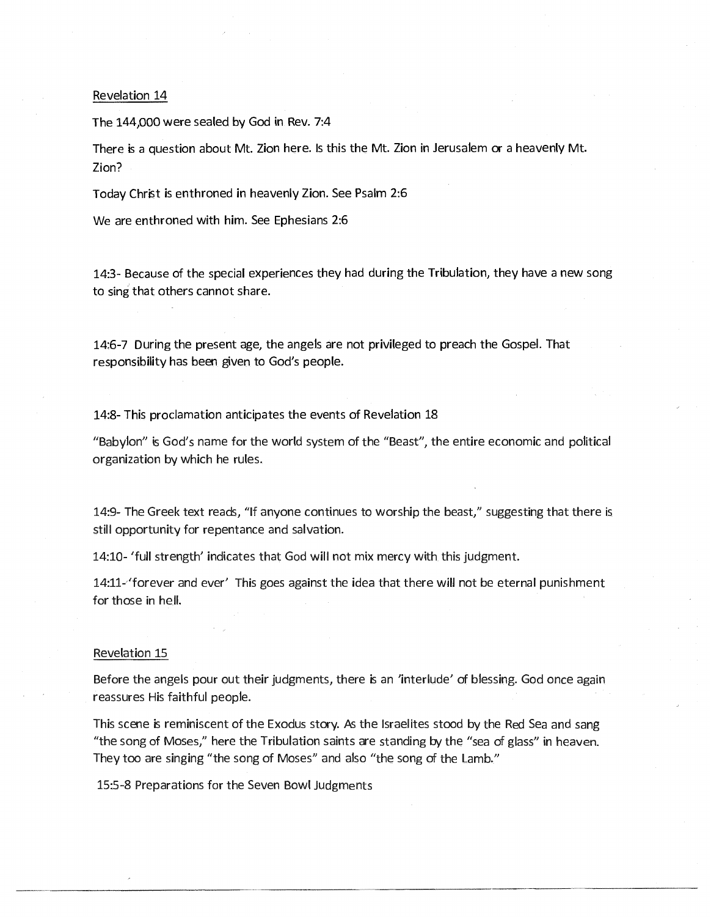## Revelation 14

The 144,000 were sealed by God in Rev. 7:4

There is a question about Mt. Zion here. Is this the Mt. Zion in Jerusalem or a heavenly Mt. Zion?

Today Christ is enthroned in heavenly Zion. See Psalm 2:6

We are enthroned with him. See Ephesians 2:6

14:3- Because of the special experiences they had during the Tribulation, they have a new song to sing that others cannot share.

14:6-7 During the present age, the angels are not privileged to preach the Gospel. That responsibility has been given to God's people.

14:8- This proclamation anticipates the events of Revelation 18

"Babylon" is God's name for the world system of the "Beast", the entire economic and political organization by which he rules.

14:9- The Greek text reads, "If anyone continues to worship the beast," suggesting that there is still opportunity for repentance and salvation.

14:10- 'full strength' indicates that God will not mix mercy with this judgment.

14:11-'forever and ever' This goes against the idea that there will not be eternal punishment for those in hell.

## Revelation 15

Before the angels pour out their judgments, there is an 'interlude' of blessing. God once again reassures His faithful people.

This scene is reminiscent of the Exodus story. As the Israelites stood by the Red Sea and sang "the song of Moses," here the Tribulation saints are standing by the "sea of glass" in heaven. They too are singing "the song of Moses" and also "the song of the Lamb."

15:5-8 Preparations for the Seven Bowl Judgments